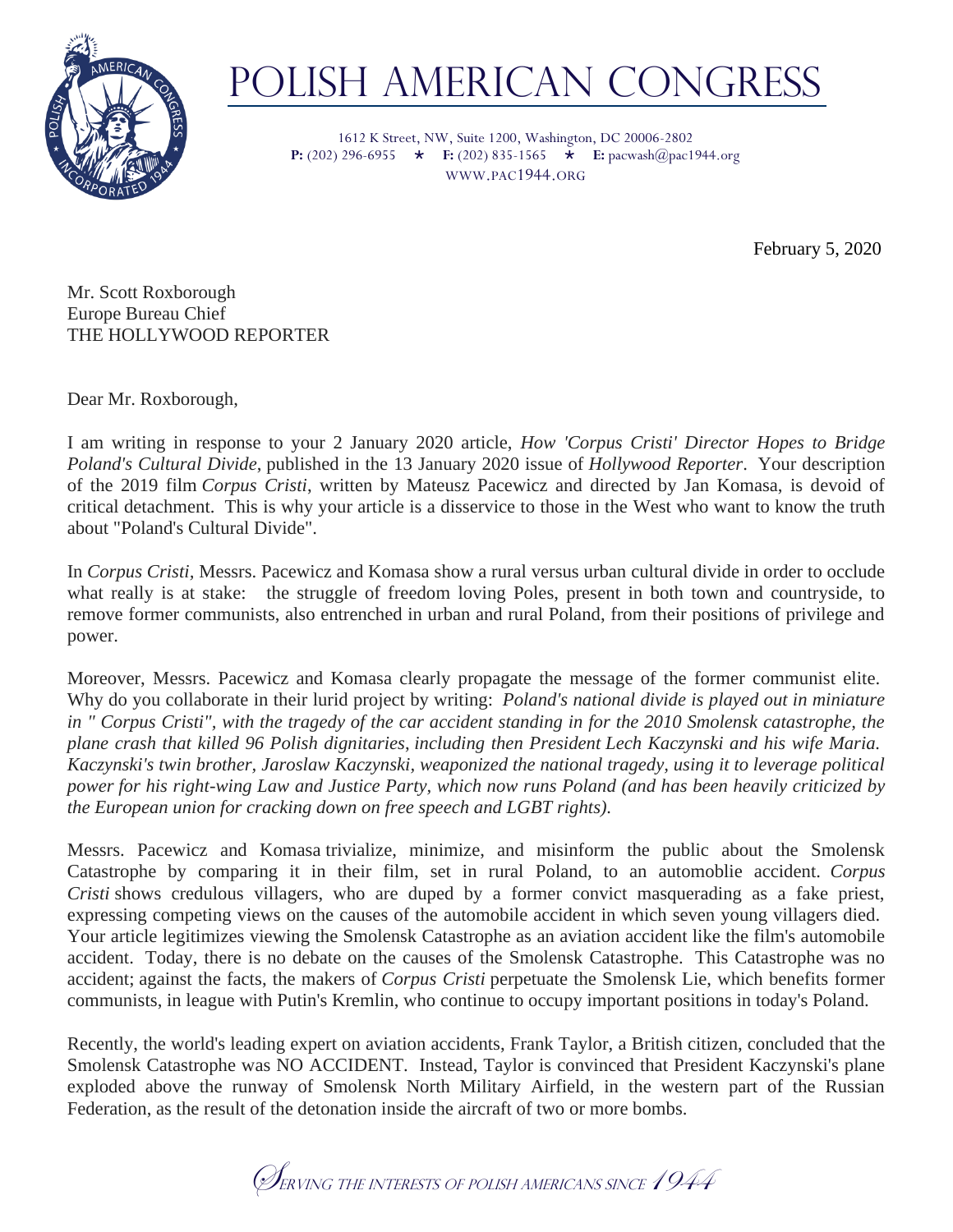

## POLISH AMERICAN CONGRESS

1612 K Street, NW, Suite 1200, Washington, DC 20006-2802 **P:** (202) 296-6955  $\star$  **<b>F:** (202) 835-1565  $\star$  **E:** pacwash@pac1944.org WWW.PAC1944.ORG

February 5, 2020

Mr. Scott Roxborough Europe Bureau Chief THE HOLLYWOOD REPORTER

Dear Mr. Roxborough,

I am writing in response to your 2 January 2020 article, *How 'Corpus Cristi' Director Hopes to Bridge Poland's Cultural Divide*, published in the 13 January 2020 issue of *Hollywood Reporter*. Your description of the 2019 film *Corpus Cristi*, written by Mateusz Pacewicz and directed by Jan Komasa, is devoid of critical detachment. This is why your article is a disservice to those in the West who want to know the truth about "Poland's Cultural Divide".

In *Corpus Cristi,* Messrs. Pacewicz and Komasa show a rural versus urban cultural divide in order to occlude what really is at stake: the struggle of freedom loving Poles, present in both town and countryside, to remove former communists, also entrenched in urban and rural Poland, from their positions of privilege and power.

Moreover, Messrs. Pacewicz and Komasa clearly propagate the message of the former communist elite. Why do you collaborate in their lurid project by writing: *Poland's national divide is played out in miniature in " Corpus Cristi", with the tragedy of the car accident standing in for the 2010 Smolensk catastrophe, the plane crash that killed 96 Polish dignitaries*, *including then President Lech Kaczynski and his wife Maria. Kaczynski's twin brother, Jaroslaw Kaczynski, weaponized the national tragedy, using it to leverage political power for his right-wing Law and Justice Party, which now runs Poland (and has been heavily criticized by the European union for cracking down on free speech and LGBT rights).*

Messrs. Pacewicz and Komasa trivialize, minimize, and misinform the public about the Smolensk Catastrophe by comparing it in their film, set in rural Poland, to an automoblie accident. *Corpus Cristi* shows credulous villagers, who are duped by a former convict masquerading as a fake priest, expressing competing views on the causes of the automobile accident in which seven young villagers died. Your article legitimizes viewing the Smolensk Catastrophe as an aviation accident like the film's automobile accident. Today, there is no debate on the causes of the Smolensk Catastrophe. This Catastrophe was no accident; against the facts, the makers of *Corpus Cristi* perpetuate the Smolensk Lie, which benefits former communists, in league with Putin's Kremlin, who continue to occupy important positions in today's Poland.

Recently, the world's leading expert on aviation accidents, Frank Taylor, a British citizen, concluded that the Smolensk Catastrophe was NO ACCIDENT. Instead, Taylor is convinced that President Kaczynski's plane exploded above the runway of Smolensk North Military Airfield, in the western part of the Russian Federation, as the result of the detonation inside the aircraft of two or more bombs.